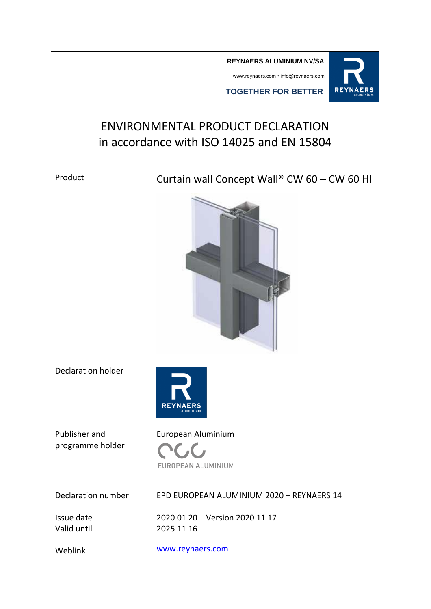**REYNAERS ALUMINIUM NV/SA**

www.reynaers.com • info@reynaers.com



**TOGETHER FOR BETTER**

# ENVIRONMENTAL PRODUCT DECLARATION in accordance with ISO 14025 and EN 15804

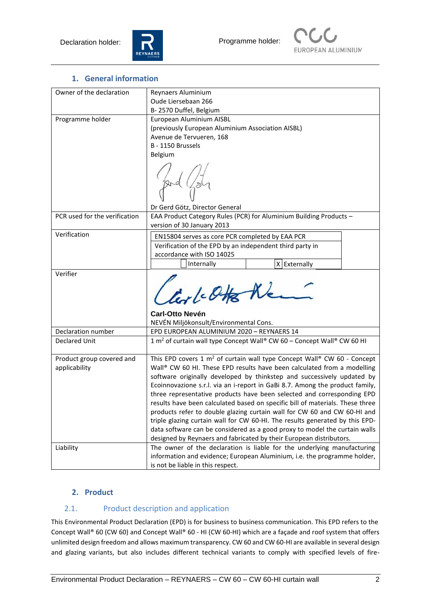



#### **1. General information**

| Owner of the declaration      | Reynaers Aluminium                                                                                                                             |  |  |  |  |  |
|-------------------------------|------------------------------------------------------------------------------------------------------------------------------------------------|--|--|--|--|--|
|                               | Oude Liersebaan 266                                                                                                                            |  |  |  |  |  |
|                               | B-2570 Duffel, Belgium                                                                                                                         |  |  |  |  |  |
| Programme holder              | European Aluminium AISBL                                                                                                                       |  |  |  |  |  |
|                               | (previously European Aluminium Association AISBL)                                                                                              |  |  |  |  |  |
|                               | Avenue de Tervueren, 168                                                                                                                       |  |  |  |  |  |
|                               | B - 1150 Brussels                                                                                                                              |  |  |  |  |  |
|                               | Belgium                                                                                                                                        |  |  |  |  |  |
|                               |                                                                                                                                                |  |  |  |  |  |
|                               | Dr Gerd Götz, Director General                                                                                                                 |  |  |  |  |  |
| PCR used for the verification | EAA Product Category Rules (PCR) for Aluminium Building Products -<br>version of 30 January 2013                                               |  |  |  |  |  |
| Verification                  | EN15804 serves as core PCR completed by EAA PCR                                                                                                |  |  |  |  |  |
|                               | Verification of the EPD by an independent third party in                                                                                       |  |  |  |  |  |
|                               | accordance with ISO 14025                                                                                                                      |  |  |  |  |  |
|                               | Internally<br>X Externally                                                                                                                     |  |  |  |  |  |
| Verifier                      |                                                                                                                                                |  |  |  |  |  |
|                               | livel-Otto New                                                                                                                                 |  |  |  |  |  |
|                               | <b>Carl-Otto Nevén</b>                                                                                                                         |  |  |  |  |  |
|                               | NEVÉN Miljökonsult/Environmental Cons.                                                                                                         |  |  |  |  |  |
| Declaration number            | EPD EUROPEAN ALUMINIUM 2020 - REYNAERS 14                                                                                                      |  |  |  |  |  |
| <b>Declared Unit</b>          | 1 m <sup>2</sup> of curtain wall type Concept Wall® CW 60 - Concept Wall® CW 60 HI                                                             |  |  |  |  |  |
| Product group covered and     | This EPD covers 1 $m^2$ of curtain wall type Concept Wall® CW 60 - Concept                                                                     |  |  |  |  |  |
| applicability                 | Wall® CW 60 HI. These EPD results have been calculated from a modelling                                                                        |  |  |  |  |  |
|                               | software originally developed by thinkstep and successively updated by                                                                         |  |  |  |  |  |
|                               | Ecoinnovazione s.r.l. via an i-report in GaBi 8.7. Among the product family,                                                                   |  |  |  |  |  |
|                               | three representative products have been selected and corresponding EPD                                                                         |  |  |  |  |  |
|                               | results have been calculated based on specific bill of materials. These three                                                                  |  |  |  |  |  |
|                               | products refer to double glazing curtain wall for CW 60 and CW 60-HI and                                                                       |  |  |  |  |  |
|                               | triple glazing curtain wall for CW 60-HI. The results generated by this EPD-                                                                   |  |  |  |  |  |
|                               | data software can be considered as a good proxy to model the curtain walls                                                                     |  |  |  |  |  |
|                               | designed by Reynaers and fabricated by their European distributors.<br>The owner of the declaration is liable for the underlying manufacturing |  |  |  |  |  |
| Liability                     | information and evidence; European Aluminium, i.e. the programme holder,                                                                       |  |  |  |  |  |
|                               | is not be liable in this respect.                                                                                                              |  |  |  |  |  |
|                               |                                                                                                                                                |  |  |  |  |  |

#### **2. Product**

## 2.1. Product description and application

This Environmental Product Declaration (EPD) is for business to business communication. This EPD refers to the Concept Wall® 60 (CW 60) and Concept Wall® 60 - HI (CW 60-HI) which are a façade and roof system that offers unlimited design freedom and allows maximum transparency. CW 60 and CW 60-HI are available in several design and glazing variants, but also includes different technical variants to comply with specified levels of fire-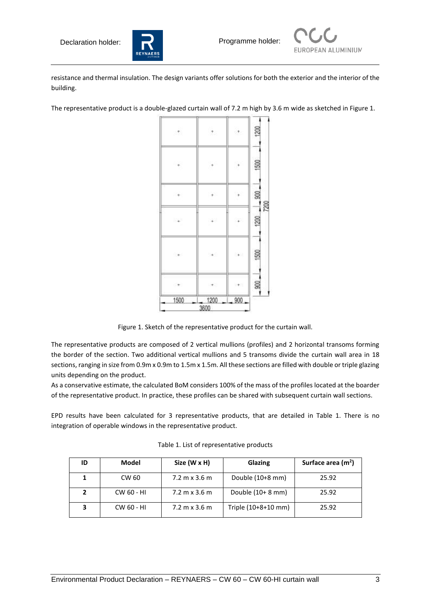



resistance and thermal insulation. The design variants offer solutions for both the exterior and the interior of the building.

The representative product is a double-glazed curtain wall of 7.2 m high by 3.6 m wide as sketched in Figure 1.



Figure 1. Sketch of the representative product for the curtain wall.

The representative products are composed of 2 vertical mullions (profiles) and 2 horizontal transoms forming the border of the section. Two additional vertical mullions and 5 transoms divide the curtain wall area in 18 sections, ranging in size from 0.9m x 0.9m to 1.5m x 1.5m. All these sections are filled with double or triple glazing units depending on the product.

As a conservative estimate, the calculated BoM considers 100% of the mass of the profiles located at the boarder of the representative product. In practice, these profiles can be shared with subsequent curtain wall sections.

EPD results have been calculated for 3 representative products, that are detailed in Table 1. There is no integration of operable windows in the representative product.

| ID | Model      | Size (W x H)                         | Glazing             | Surface area $(m2)$ |
|----|------------|--------------------------------------|---------------------|---------------------|
|    | CW 60      | $7.2 \text{ m} \times 3.6 \text{ m}$ | Double (10+8 mm)    | 25.92               |
|    | CW 60 - HI | $7.2 \text{ m} \times 3.6 \text{ m}$ | Double $(10+8$ mm)  | 25.92               |
| з  | CW 60 - HI | $7.2 \text{ m} \times 3.6 \text{ m}$ | Triple (10+8+10 mm) | 25.92               |

Table 1. List of representative products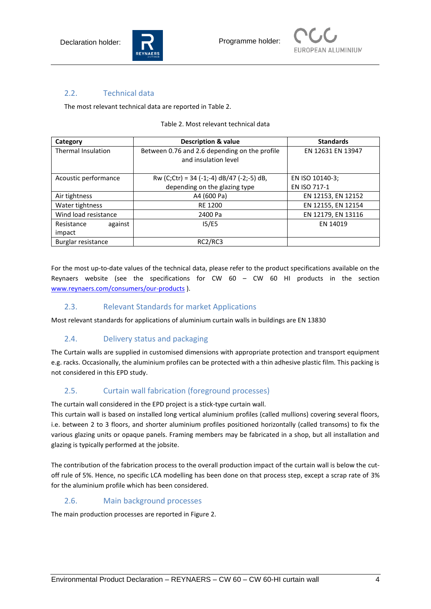



#### 2.2. Technical data

The most relevant technical data are reported in Table 2.

#### Table 2. Most relevant technical data

| Category                  | <b>Description &amp; value</b>                | <b>Standards</b>   |  |  |
|---------------------------|-----------------------------------------------|--------------------|--|--|
| <b>Thermal Insulation</b> | Between 0.76 and 2.6 depending on the profile | EN 12631 EN 13947  |  |  |
|                           | and insulation level                          |                    |  |  |
|                           |                                               |                    |  |  |
| Acoustic performance      | Rw (C;Ctr) = 34 (-1;-4) $dB/47$ (-2;-5) dB,   | EN ISO 10140-3;    |  |  |
|                           | depending on the glazing type                 | EN ISO 717-1       |  |  |
| Air tightness             | A4 (600 Pa)                                   | EN 12153, EN 12152 |  |  |
| Water tightness           | RE 1200                                       | EN 12155, EN 12154 |  |  |
| Wind load resistance      | 2400 Pa                                       | EN 12179, EN 13116 |  |  |
| Resistance<br>against     | 15/E5                                         | EN 14019           |  |  |
| impact                    |                                               |                    |  |  |
| Burglar resistance        | RC2/RC3                                       |                    |  |  |

For the most up-to-date values of the technical data, please refer to the product specifications available on the Reynaers website (see the specifications for CW 60 – CW 60 HI products in the section [www.reynaers.com/consumers/our-products](http://www.reynaers.com/consumers/our-products) ).

#### 2.3. Relevant Standards for market Applications

Most relevant standards for applications of aluminium curtain walls in buildings are EN 13830

## 2.4. Delivery status and packaging

The Curtain walls are supplied in customised dimensions with appropriate protection and transport equipment e.g. racks. Occasionally, the aluminium profiles can be protected with a thin adhesive plastic film. This packing is not considered in this EPD study.

## 2.5. Curtain wall fabrication (foreground processes)

The curtain wall considered in the EPD project is a stick-type curtain wall.

This curtain wall is based on installed long vertical aluminium profiles (called mullions) covering several floors, i.e. between 2 to 3 floors, and shorter aluminium profiles positioned horizontally (called transoms) to fix the various glazing units or opaque panels. Framing members may be fabricated in a shop, but all installation and glazing is typically performed at the jobsite.

The contribution of the fabrication process to the overall production impact of the curtain wall is below the cutoff rule of 5%. Hence, no specific LCA modelling has been done on that process step, except a scrap rate of 3% for the aluminium profile which has been considered.

#### 2.6. Main background processes

The main production processes are reported in Figure 2.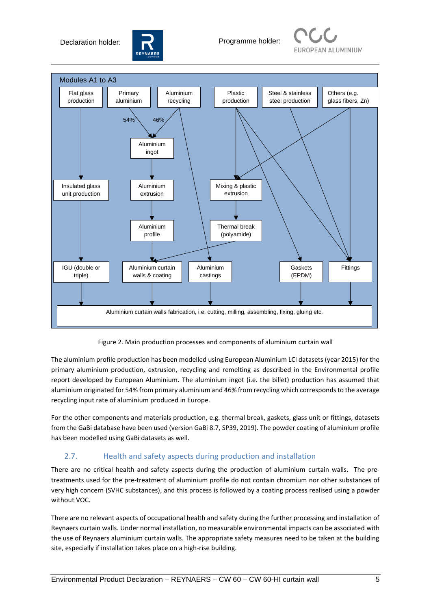Declaration holder: **Programme holder:** 







Figure 2. Main production processes and components of aluminium curtain wall

The aluminium profile production has been modelled using European Aluminium LCI datasets (year 2015) for the primary aluminium production, extrusion, recycling and remelting as described in the Environmental profile report developed by European Aluminium. The aluminium ingot (i.e. the billet) production has assumed that aluminium originated for 54% from primary aluminium and 46% from recycling which corresponds to the average recycling input rate of aluminium produced in Europe.

For the other components and materials production, e.g. thermal break, gaskets, glass unit or fittings, datasets from the GaBi database have been used (version GaBi 8.7, SP39, 2019). The powder coating of aluminium profile has been modelled using GaBi datasets as well.

## 2.7. Health and safety aspects during production and installation

There are no critical health and safety aspects during the production of aluminium curtain walls. The pretreatments used for the pre-treatment of aluminium profile do not contain chromium nor other substances of very high concern (SVHC substances), and this process is followed by a coating process realised using a powder without VOC.

There are no relevant aspects of occupational health and safety during the further processing and installation of Reynaers curtain walls. Under normal installation, no measurable environmental impacts can be associated with the use of Reynaers aluminium curtain walls. The appropriate safety measures need to be taken at the building site, especially if installation takes place on a high-rise building.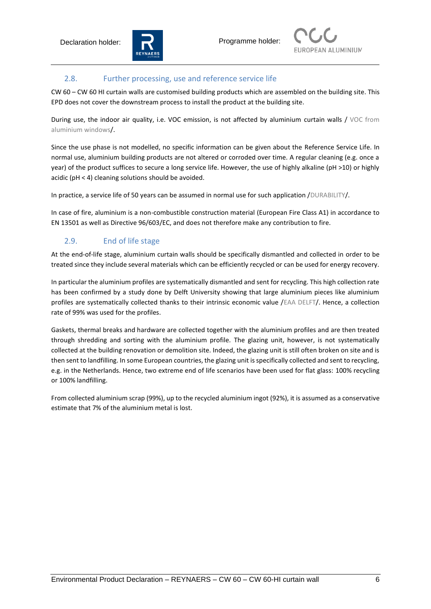



#### 2.8. Further processing, use and reference service life

CW 60 – CW 60 HI curtain walls are customised building products which are assembled on the building site. This EPD does not cover the downstream process to install the product at the building site.

During use, the indoor air quality, i.e. VOC emission, is not affected by aluminium curtain walls / VOC from aluminium windows/.

Since the use phase is not modelled, no specific information can be given about the Reference Service Life. In normal use, aluminium building products are not altered or corroded over time. A regular cleaning (e.g. once a year) of the product suffices to secure a long service life. However, the use of highly alkaline (pH >10) or highly acidic (pH < 4) cleaning solutions should be avoided.

In practice, a service life of 50 years can be assumed in normal use for such application /DURABILITY/.

In case of fire, aluminium is a non-combustible construction material (European Fire Class A1) in accordance to EN 13501 as well as Directive 96/603/EC, and does not therefore make any contribution to fire.

## 2.9. End of life stage

At the end-of-life stage, aluminium curtain walls should be specifically dismantled and collected in order to be treated since they include several materials which can be efficiently recycled or can be used for energy recovery.

In particular the aluminium profiles are systematically dismantled and sent for recycling. This high collection rate has been confirmed by a study done by Delft University showing that large aluminium pieces like aluminium profiles are systematically collected thanks to their intrinsic economic value /EAA DELFT/. Hence, a collection rate of 99% was used for the profiles.

Gaskets, thermal breaks and hardware are collected together with the aluminium profiles and are then treated through shredding and sorting with the aluminium profile. The glazing unit, however, is not systematically collected at the building renovation or demolition site. Indeed, the glazing unit is still often broken on site and is then sent to landfilling. In some European countries, the glazing unit is specifically collected and sent to recycling, e.g. in the Netherlands. Hence, two extreme end of life scenarios have been used for flat glass: 100% recycling or 100% landfilling.

From collected aluminium scrap (99%), up to the recycled aluminium ingot (92%), it is assumed as a conservative estimate that 7% of the aluminium metal is lost.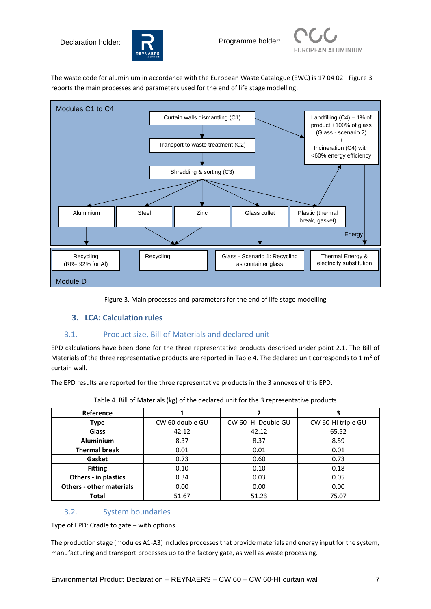



The waste code for aluminium in accordance with the European Waste Catalogue (EWC) is 17 04 02. Figure 3 reports the main processes and parameters used for the end of life stage modelling.



Figure 3. Main processes and parameters for the end of life stage modelling

#### **3. LCA: Calculation rules**

#### 3.1. Product size, Bill of Materials and declared unit

EPD calculations have been done for the three representative products described under point 2.1. The Bill of Materials of the three representative products are reported in Table 4. The declared unit corresponds to 1  $m^2$  of curtain wall.

The EPD results are reported for the three representative products in the 3 annexes of this EPD.

| Reference                       |                 | 2                   |                    |
|---------------------------------|-----------------|---------------------|--------------------|
| <b>Type</b>                     | CW 60 double GU | CW 60 -HI Double GU | CW 60-HI triple GU |
| <b>Glass</b>                    | 42.12           | 42.12               | 65.52              |
| <b>Aluminium</b>                | 8.37            | 8.37                | 8.59               |
| <b>Thermal break</b>            | 0.01            | 0.01                | 0.01               |
| Gasket                          | 0.73            | 0.60                | 0.73               |
| <b>Fitting</b>                  | 0.10            | 0.10                | 0.18               |
| Others - in plastics            | 0.34            | 0.03                | 0.05               |
| <b>Others - other materials</b> | 0.00            | 0.00                | 0.00               |
| <b>Total</b>                    | 51.67           | 51.23               | 75.07              |

Table 4. Bill of Materials (kg) of the declared unit for the 3 representative products

#### 3.2. System boundaries

Type of EPD: Cradle to gate – with options

The production stage (modules A1-A3) includes processes that provide materials and energy input for the system, manufacturing and transport processes up to the factory gate, as well as waste processing.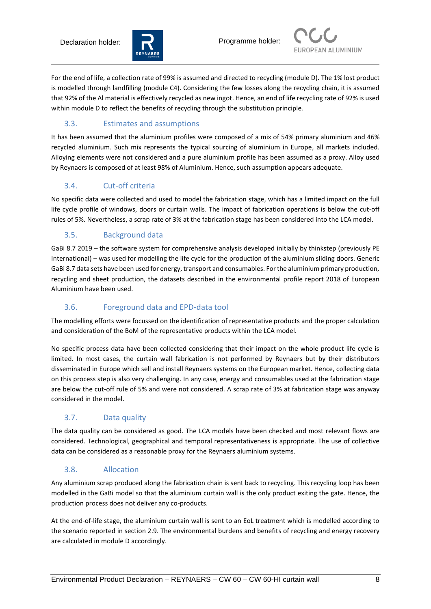



For the end of life, a collection rate of 99% is assumed and directed to recycling (module D). The 1% lost product is modelled through landfilling (module C4). Considering the few losses along the recycling chain, it is assumed that 92% of the Al material is effectively recycled as new ingot. Hence, an end of life recycling rate of 92% is used within module D to reflect the benefits of recycling through the substitution principle.

## 3.3. Estimates and assumptions

It has been assumed that the aluminium profiles were composed of a mix of 54% primary aluminium and 46% recycled aluminium. Such mix represents the typical sourcing of aluminium in Europe, all markets included. Alloying elements were not considered and a pure aluminium profile has been assumed as a proxy. Alloy used by Reynaers is composed of at least 98% of Aluminium. Hence, such assumption appears adequate.

## 3.4. Cut-off criteria

No specific data were collected and used to model the fabrication stage, which has a limited impact on the full life cycle profile of windows, doors or curtain walls. The impact of fabrication operations is below the cut-off rules of 5%. Nevertheless, a scrap rate of 3% at the fabrication stage has been considered into the LCA model.

## 3.5. Background data

GaBi 8.7 2019 – the software system for comprehensive analysis developed initially by thinkstep (previously PE International) – was used for modelling the life cycle for the production of the aluminium sliding doors. Generic GaBi 8.7 data sets have been used for energy, transport and consumables. For the aluminium primary production, recycling and sheet production, the datasets described in the environmental profile report 2018 of European Aluminium have been used.

## 3.6. Foreground data and EPD-data tool

The modelling efforts were focussed on the identification of representative products and the proper calculation and consideration of the BoM of the representative products within the LCA model.

No specific process data have been collected considering that their impact on the whole product life cycle is limited. In most cases, the curtain wall fabrication is not performed by Reynaers but by their distributors disseminated in Europe which sell and install Reynaers systems on the European market. Hence, collecting data on this process step is also very challenging. In any case, energy and consumables used at the fabrication stage are below the cut-off rule of 5% and were not considered. A scrap rate of 3% at fabrication stage was anyway considered in the model.

## 3.7. Data quality

The data quality can be considered as good. The LCA models have been checked and most relevant flows are considered. Technological, geographical and temporal representativeness is appropriate. The use of collective data can be considered as a reasonable proxy for the Reynaers aluminium systems.

## 3.8. Allocation

Any aluminium scrap produced along the fabrication chain is sent back to recycling. This recycling loop has been modelled in the GaBi model so that the aluminium curtain wall is the only product exiting the gate. Hence, the production process does not deliver any co-products.

At the end-of-life stage, the aluminium curtain wall is sent to an EoL treatment which is modelled according to the scenario reported in section 2.9. The environmental burdens and benefits of recycling and energy recovery are calculated in module D accordingly.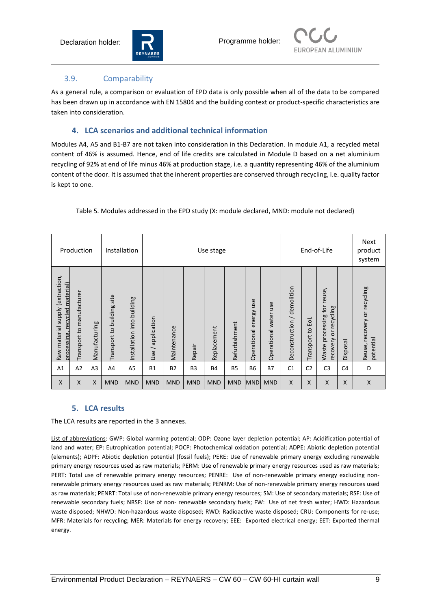



#### 3.9. Comparability

As a general rule, a comparison or evaluation of EPD data is only possible when all of the data to be compared has been drawn up in accordance with EN 15804 and the building context or product-specific characteristics are taken into consideration.

#### **4. LCA scenarios and additional technical information**

Modules A4, A5 and B1-B7 are not taken into consideration in this Declaration. In module A1, a recycled metal content of 46% is assumed. Hence, end of life credits are calculated in Module D based on a net aluminium recycling of 92% at end of life minus 46% at production stage, i.e. a quantity representing 46% of the aluminium content of the door. It is assumed that the inherent properties are conserved through recycling, i.e. quality factor is kept to one.

| Production                                                               |                           |                | Installation                  |                            |                                                | Use stage   |                |             |               |                              |                          | End-of-Life                 |                  | Next<br>product<br>system                               |                |                                           |
|--------------------------------------------------------------------------|---------------------------|----------------|-------------------------------|----------------------------|------------------------------------------------|-------------|----------------|-------------|---------------|------------------------------|--------------------------|-----------------------------|------------------|---------------------------------------------------------|----------------|-------------------------------------------|
| (extraction,<br>material)<br>Raw material supply<br>processing, recycled | Transport to manufacturer | Manufacturing  | site<br>Transport to building | Installation into building | application<br>$\overline{\phantom{0}}$<br>Use | Maintenance | Repair         | Replacement | Refurbishment | use<br>energy<br>Operational | use<br>Operational water | Deconstruction / demolition | Transport to EoL | reuse,<br>Waste processing for<br>recovery or recycling | Disposal       | Reuse, recovery or recycling<br>potential |
| A1                                                                       | A2                        | A <sub>3</sub> | A <sub>4</sub>                | A5                         | <b>B1</b>                                      | <b>B2</b>   | B <sub>3</sub> | <b>B4</b>   | <b>B5</b>     | <b>B6</b>                    | <b>B7</b>                | C <sub>1</sub>              | C <sub>2</sub>   | C <sub>3</sub>                                          | C <sub>4</sub> | D                                         |
| X                                                                        | X                         | X              | <b>MND</b>                    | <b>MND</b>                 | <b>MND</b>                                     | <b>MND</b>  | <b>MND</b>     | <b>MND</b>  | <b>MND</b>    | <b>MND</b>                   | <b>MND</b>               | X                           | X                | X                                                       | X              | $\mathsf{x}$                              |

#### Table 5. Modules addressed in the EPD study (X: module declared, MND: module not declared)

#### **5. LCA results**

The LCA results are reported in the 3 annexes.

List of abbreviations: GWP: Global warming potential; ODP: Ozone layer depletion potential; AP: Acidification potential of land and water; EP: Eutrophication potential; POCP: Photochemical oxidation potential; ADPE: Abiotic depletion potential (elements); ADPF: Abiotic depletion potential (fossil fuels); PERE: Use of renewable primary energy excluding renewable primary energy resources used as raw materials; PERM: Use of renewable primary energy resources used as raw materials; PERT: Total use of renewable primary energy resources; PENRE: Use of non-renewable primary energy excluding nonrenewable primary energy resources used as raw materials; PENRM: Use of non-renewable primary energy resources used as raw materials; PENRT: Total use of non-renewable primary energy resources; SM: Use of secondary materials; RSF: Use of renewable secondary fuels; NRSF: Use of non- renewable secondary fuels; FW: Use of net fresh water; HWD: Hazardous waste disposed; NHWD: Non-hazardous waste disposed; RWD: Radioactive waste disposed; CRU: Components for re-use; MFR: Materials for recycling; MER: Materials for energy recovery; EEE: Exported electrical energy; EET: Exported thermal energy.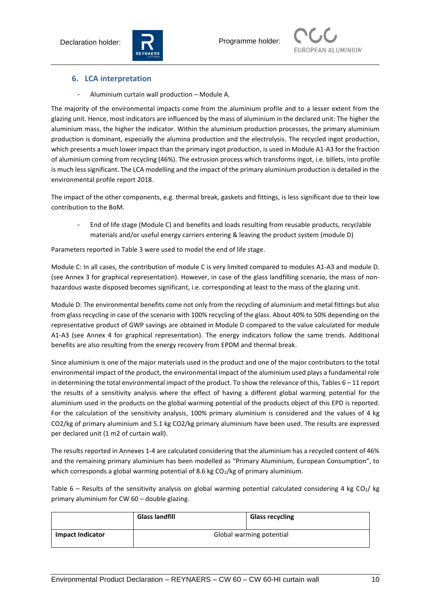



#### **6. LCA interpretation**

- Aluminium curtain wall production – Module A.

The majority of the environmental impacts come from the aluminium profile and to a lesser extent from the glazing unit. Hence, most indicators are influenced by the mass of aluminium in the declared unit: The higher the aluminium mass, the higher the indicator. Within the aluminium production processes, the primary aluminium production is dominant, especially the alumina production and the electrolysis. The recycled ingot production, which presents a much lower impact than the primary ingot production, is used in Module A1-A3 for the fraction of aluminium coming from recycling (46%). The extrusion process which transforms ingot, i.e. billets, into profile is much less significant. The LCA modelling and the impact of the primary aluminium production is detailed in the environmental profile report 2018.

The impact of the other components, e.g. thermal break, gaskets and fittings, is less significant due to their low contribution to the BoM.

- End of life stage (Module C) and benefits and loads resulting from reusable products, recyclable materials and/or useful energy carriers entering & leaving the product system (module D)

Parameters reported in Table 3 were used to model the end of life stage.

Module C: In all cases, the contribution of module C is very limited compared to modules A1-A3 and module D. (see Annex 3 for graphical representation). However, in case of the glass landfilling scenario, the mass of nonhazardous waste disposed becomes significant, i.e. corresponding at least to the mass of the glazing unit.

Module D: The environmental benefits come not only from the recycling of aluminium and metal fittings but also from glass recycling in case of the scenario with 100% recycling of the glass. About 40% to 50% depending on the representative product of GWP savings are obtained in Module D compared to the value calculated for module A1-A3 (see Annex 4 for graphical representation). The energy indicators follow the same trends. Additional benefits are also resulting from the energy recovery from EPDM and thermal break.

Since aluminium is one of the major materials used in the product and one of the major contributors to the total environmental impact of the product, the environmental impact of the aluminium used plays a fundamental role in determining the total environmental impact of the product. To show the relevance of this, Tables 6 – 11 report the results of a sensitivity analysis where the effect of having a different global warming potential for the aluminium used in the products on the global warming potential of the products object of this EPD is reported. For the calculation of the sensitivity analysis, 100% primary aluminium is considered and the values of 4 kg CO2/kg of primary aluminium and 5.1 kg CO2/kg primary aluminium have been used. The results are expressed per declared unit (1 m2 of curtain wall).

The results reported in Annexes 1-4 are calculated considering that the aluminium has a recycled content of 46% and the remaining primary aluminium has been modelled as "Primary Aluminium, European Consumption", to which corresponds a global warming potential of 8.6 kg CO<sub>2</sub>/kg of primary aluminium.

Table  $6$  – Results of the sensitivity analysis on global warming potential calculated considering 4 kg CO<sub>2</sub>/ kg primary aluminium for CW 60 – double glazing.

|                         | <b>Glass landfill</b> | <b>Glass recycling</b>   |
|-------------------------|-----------------------|--------------------------|
| <b>Impact Indicator</b> |                       | Global warming potential |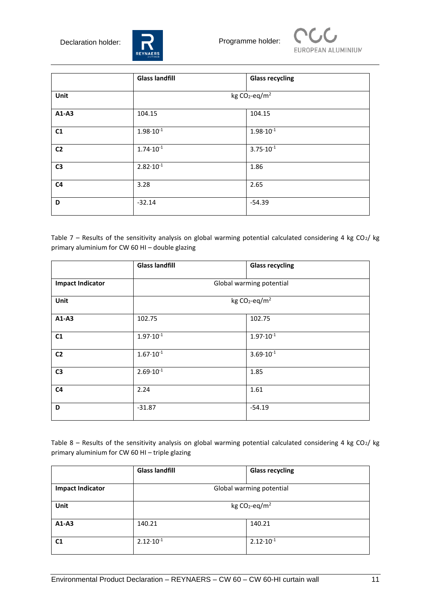



|                | <b>Glass landfill</b>        | <b>Glass recycling</b> |  |  |  |  |
|----------------|------------------------------|------------------------|--|--|--|--|
| Unit           | kg $CO_2$ -eq/m <sup>2</sup> |                        |  |  |  |  |
| $A1-A3$        | 104.15                       | 104.15                 |  |  |  |  |
| C1             | $1.98 \cdot 10^{-1}$         | $1.98 \cdot 10^{-1}$   |  |  |  |  |
| C <sub>2</sub> | $1.74 \cdot 10^{-1}$         | $3.75 \cdot 10^{-1}$   |  |  |  |  |
| C <sub>3</sub> | $2.82 \cdot 10^{-1}$         | 1.86                   |  |  |  |  |
| C <sub>4</sub> | 3.28                         | 2.65                   |  |  |  |  |
| D              | $-32.14$                     | $-54.39$               |  |  |  |  |

Table 7 – Results of the sensitivity analysis on global warming potential calculated considering 4 kg CO<sub>2</sub>/ kg primary aluminium for CW 60 HI – double glazing

|                         | <b>Glass landfill</b> | <b>Glass recycling</b>       |
|-------------------------|-----------------------|------------------------------|
| <b>Impact Indicator</b> |                       | Global warming potential     |
| Unit                    |                       | kg $CO_2$ -eq/m <sup>2</sup> |
| $A1-A3$                 | 102.75                | 102.75                       |
| C1                      | $1.97 \cdot 10^{-1}$  | $1.97 \cdot 10^{-1}$         |
| C <sub>2</sub>          | $1.67 \cdot 10^{-1}$  | $3.69 \cdot 10^{-1}$         |
| C <sub>3</sub>          | $2.69 \cdot 10^{-1}$  | 1.85                         |
| C <sub>4</sub>          | 2.24                  | 1.61                         |
| D                       | $-31.87$              | $-54.19$                     |

Table 8 – Results of the sensitivity analysis on global warming potential calculated considering 4 kg CO<sub>2</sub>/ kg primary aluminium for CW 60 HI – triple glazing

|                         | <b>Glass landfill</b>        | <b>Glass recycling</b> |  |  |  |  |
|-------------------------|------------------------------|------------------------|--|--|--|--|
| <b>Impact Indicator</b> | Global warming potential     |                        |  |  |  |  |
| Unit                    | kg $CO_2$ -eq/m <sup>2</sup> |                        |  |  |  |  |
| $A1-A3$                 | 140.21                       | 140.21                 |  |  |  |  |
| C <sub>1</sub>          | $2.12 \cdot 10^{-1}$         | $2.12 \cdot 10^{-1}$   |  |  |  |  |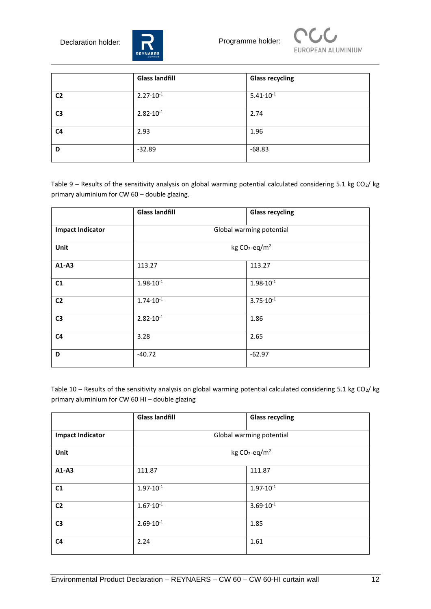



|                | <b>Glass landfill</b> | <b>Glass recycling</b> |
|----------------|-----------------------|------------------------|
| C <sub>2</sub> | $2.27 \cdot 10^{-1}$  | $5.41 \cdot 10^{-1}$   |
| C <sub>3</sub> | $2.82 \cdot 10^{-1}$  | 2.74                   |
| C <sub>4</sub> | 2.93                  | 1.96                   |
| D              | $-32.89$              | $-68.83$               |

Table 9 – Results of the sensitivity analysis on global warming potential calculated considering 5.1 kg CO<sub>2</sub>/ kg primary aluminium for CW 60 – double glazing.

|                         | <b>Glass landfill</b> | <b>Glass recycling</b>       |
|-------------------------|-----------------------|------------------------------|
| <b>Impact Indicator</b> |                       | Global warming potential     |
| Unit                    |                       | kg $CO_2$ -eq/m <sup>2</sup> |
| A1-A3                   | 113.27                | 113.27                       |
| C1                      | $1.98 \cdot 10^{-1}$  | $1.98 \cdot 10^{-1}$         |
| C <sub>2</sub>          | $1.74 \cdot 10^{-1}$  | $3.75 \cdot 10^{-1}$         |
| C <sub>3</sub>          | $2.82 \cdot 10^{-1}$  | 1.86                         |
| C <sub>4</sub>          | 3.28                  | 2.65                         |
| D                       | $-40.72$              | $-62.97$                     |

Table 10 – Results of the sensitivity analysis on global warming potential calculated considering 5.1 kg CO<sub>2</sub>/ kg primary aluminium for CW 60 HI – double glazing

|                         | <b>Glass landfill</b> | <b>Glass recycling</b>       |
|-------------------------|-----------------------|------------------------------|
| <b>Impact Indicator</b> |                       | Global warming potential     |
| Unit                    |                       | kg $CO_2$ -eq/m <sup>2</sup> |
| $A1-A3$                 | 111.87                | 111.87                       |
| C <sub>1</sub>          | $1.97 \cdot 10^{-1}$  | $1.97 \cdot 10^{-1}$         |
| C <sub>2</sub>          | $1.67 \cdot 10^{-1}$  | $3.69 \cdot 10^{-1}$         |
| C <sub>3</sub>          | $2.69 \cdot 10^{-1}$  | 1.85                         |
| C <sub>4</sub>          | 2.24                  | 1.61                         |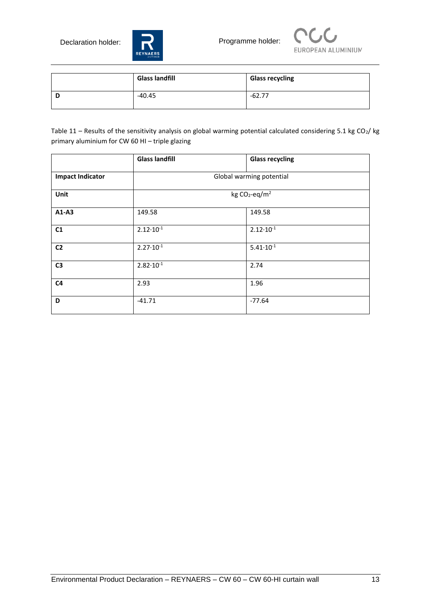



| <b>Glass landfill</b> | <b>Glass recycling</b> |
|-----------------------|------------------------|
| -40.45                | -62.77                 |

Table 11 – Results of the sensitivity analysis on global warming potential calculated considering 5.1 kg CO<sub>2</sub>/ kg primary aluminium for CW 60 HI – triple glazing

|                         | <b>Glass landfill</b> | <b>Glass recycling</b>       |
|-------------------------|-----------------------|------------------------------|
| <b>Impact Indicator</b> |                       | Global warming potential     |
| Unit                    |                       | kg $CO_2$ -eq/m <sup>2</sup> |
| A1-A3                   | 149.58                | 149.58                       |
| C1                      | $2.12 \cdot 10^{-1}$  | $2.12 \cdot 10^{-1}$         |
| C <sub>2</sub>          | $2.27 \cdot 10^{-1}$  | $5.41 \cdot 10^{-1}$         |
| C <sub>3</sub>          | $2.82 \cdot 10^{-1}$  | 2.74                         |
| C <sub>4</sub>          | 2.93                  | 1.96                         |
| D                       | $-41.71$              | $-77.64$                     |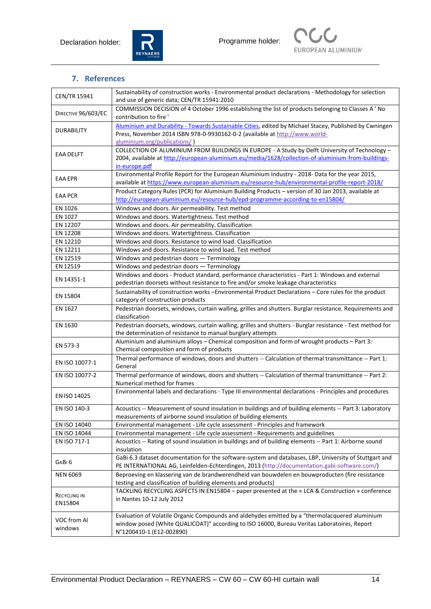



## **7. References**

| CEN/TR 15941        | Sustainability of construction works - Environmental product declarations - Methodology for selection<br>and use of generic data; CEN/TR 15941:2010 |  |  |  |  |  |  |  |
|---------------------|-----------------------------------------------------------------------------------------------------------------------------------------------------|--|--|--|--|--|--|--|
| DIRECTIVE 96/603/EC | COMMISSION DECISION of 4 October 1996 establishing the list of products belonging to Classes A ' No                                                 |  |  |  |  |  |  |  |
|                     | contribution to fire '                                                                                                                              |  |  |  |  |  |  |  |
| <b>DURABILITY</b>   | Aluminium and Durability - Towards Sustainable Cities, edited by Michael Stacey, Published by Cwningen                                              |  |  |  |  |  |  |  |
|                     | Press, November 2014 ISBN 978-0-9930162-0-2 (available at http://www.world-<br>aluminium.org/publications/)                                         |  |  |  |  |  |  |  |
|                     | COLLECTION OF ALUMINIUM FROM BUILDINGS IN EUROPE - A Study by Delft University of Technology -                                                      |  |  |  |  |  |  |  |
| <b>EAA DELFT</b>    | 2004, available at http://european-aluminium.eu/media/1628/collection-of-aluminium-from-buildings-                                                  |  |  |  |  |  |  |  |
|                     | in-europe.pdf                                                                                                                                       |  |  |  |  |  |  |  |
|                     | Environmental Profile Report for the European Aluminium Industry - 2018- Data for the year 2015,                                                    |  |  |  |  |  |  |  |
| <b>EAA EPR</b>      | available at https://www.european-aluminium.eu/resource-hub/environmental-profile-report-2018/                                                      |  |  |  |  |  |  |  |
|                     | Product Category Rules (PCR) for Aluminium Building Products - version of 30 Jan 2013, available at                                                 |  |  |  |  |  |  |  |
| <b>EAA PCR</b>      | http://european-aluminium.eu/resource-hub/epd-programme-according-to-en15804/                                                                       |  |  |  |  |  |  |  |
| EN 1026             | Windows and doors. Air permeability. Test method                                                                                                    |  |  |  |  |  |  |  |
| EN 1027             | Windows and doors. Watertightness. Test method                                                                                                      |  |  |  |  |  |  |  |
| EN 12207            | Windows and doors. Air permeability. Classification                                                                                                 |  |  |  |  |  |  |  |
| EN 12208            | Windows and doors. Watertightness. Classification                                                                                                   |  |  |  |  |  |  |  |
| EN 12210            | Windows and doors. Resistance to wind load. Classification                                                                                          |  |  |  |  |  |  |  |
| EN 12211            | Windows and doors. Resistance to wind load. Test method                                                                                             |  |  |  |  |  |  |  |
| EN 12519            | Windows and pedestrian doors - Terminology                                                                                                          |  |  |  |  |  |  |  |
| EN 12519            | Windows and pedestrian doors - Terminology                                                                                                          |  |  |  |  |  |  |  |
|                     | Windows and doors - Product standard, performance characteristics - Part 1: Windows and external                                                    |  |  |  |  |  |  |  |
| EN 14351-1          | pedestrian doorsets without resistance to fire and/or smoke leakage characteristics                                                                 |  |  |  |  |  |  |  |
|                     | Sustainability of construction works -Environmental Product Declarations - Core rules for the product                                               |  |  |  |  |  |  |  |
| EN 15804            | category of construction products                                                                                                                   |  |  |  |  |  |  |  |
| EN 1627             | Pedestrian doorsets, windows, curtain walling, grilles and shutters. Burglar resistance. Requirements and                                           |  |  |  |  |  |  |  |
|                     | classification                                                                                                                                      |  |  |  |  |  |  |  |
| EN 1630             | Pedestrian doorsets, windows, curtain walling, grilles and shutters - Burglar resistance - Test method for                                          |  |  |  |  |  |  |  |
|                     | the determination of resistance to manual burglary attempts                                                                                         |  |  |  |  |  |  |  |
|                     | Aluminium and aluminium alloys - Chemical composition and form of wrought products - Part 3:                                                        |  |  |  |  |  |  |  |
| EN 573-3            | Chemical composition and form of products                                                                                                           |  |  |  |  |  |  |  |
|                     | Thermal performance of windows, doors and shutters -- Calculation of thermal transmittance -- Part 1:                                               |  |  |  |  |  |  |  |
| EN ISO 10077-1      | General                                                                                                                                             |  |  |  |  |  |  |  |
| EN ISO 10077-2      | Thermal performance of windows, doors and shutters -- Calculation of thermal transmittance -- Part 2:                                               |  |  |  |  |  |  |  |
|                     | Numerical method for frames                                                                                                                         |  |  |  |  |  |  |  |
| EN ISO 14025        | Environmental labels and declarations - Type III environmental declarations - Principles and procedures                                             |  |  |  |  |  |  |  |
|                     |                                                                                                                                                     |  |  |  |  |  |  |  |
| EN ISO 140-3        | Acoustics -- Measurement of sound insulation in buildings and of building elements -- Part 3: Laboratory                                            |  |  |  |  |  |  |  |
|                     | measurements of airborne sound insulation of building elements                                                                                      |  |  |  |  |  |  |  |
| EN ISO 14040        | Environmental management - Life cycle assessment - Principles and framework                                                                         |  |  |  |  |  |  |  |
| EN ISO 14044        | Environmental management - Life cycle assessment - Requirements and guidelines                                                                      |  |  |  |  |  |  |  |
| EN ISO 717-1        | Acoustics -- Rating of sound insulation in buildings and of building elements -- Part 1: Airborne sound<br>insulation                               |  |  |  |  |  |  |  |
| GABI <sub>6</sub>   | GaBi 6.3 dataset documentation for the software-system and databases, LBP, University of Stuttgart and                                              |  |  |  |  |  |  |  |
|                     | PE INTERNATIONAL AG, Leinfelden-Echterdingen, 2013 (http://documentation.gabi-software.com/)                                                        |  |  |  |  |  |  |  |
| <b>NEN 6069</b>     | Beproeving en klassering van de brandwerendheid van bouwdelen en bouwproducten (fire resistance                                                     |  |  |  |  |  |  |  |
|                     | testing and classification of building elements and products)                                                                                       |  |  |  |  |  |  |  |
| RECYCLING IN        | TACKLING RECYCLING ASPECTS IN EN15804 - paper presented at the « LCA & Construction » conference                                                    |  |  |  |  |  |  |  |
| EN15804             | in Nantes 10-12 July 2012                                                                                                                           |  |  |  |  |  |  |  |
|                     |                                                                                                                                                     |  |  |  |  |  |  |  |
| VOC from Al         | Evaluation of Volatile Organic Compounds and aldehydes emitted by a "thermolacquered aluminium                                                      |  |  |  |  |  |  |  |
| windows             | window posed (White QUALICOAT)" according to ISO 16000, Bureau Veritas Laboratoires, Report                                                         |  |  |  |  |  |  |  |
|                     | N°1200410-1 (E12-002890)                                                                                                                            |  |  |  |  |  |  |  |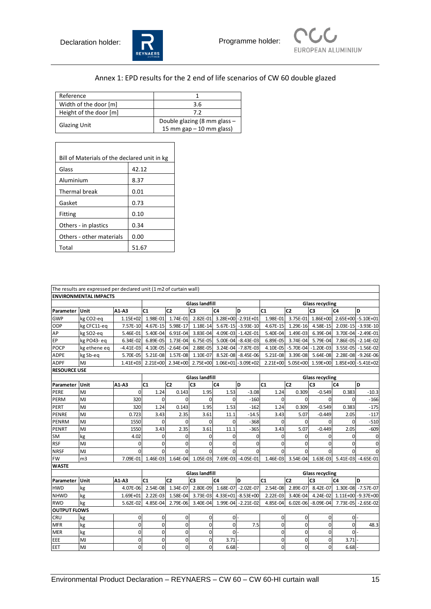



## Annex 1: EPD results for the 2 end of life scenarios of CW 60 double glazed

| Reference              |                              |
|------------------------|------------------------------|
| Width of the door [m]  | 3.6                          |
| Height of the door [m] | 72                           |
|                        | Double glazing (8 mm glass - |
| <b>Glazing Unit</b>    | 15 mm gap $-10$ mm glass)    |

| Bill of Materials of the declared unit in kg |       |  |  |  |  |  |  |  |  |
|----------------------------------------------|-------|--|--|--|--|--|--|--|--|
| Glass                                        | 42.12 |  |  |  |  |  |  |  |  |
| Aluminium                                    | 8.37  |  |  |  |  |  |  |  |  |
| Thermal break                                | 0.01  |  |  |  |  |  |  |  |  |
| Gasket                                       | 0.73  |  |  |  |  |  |  |  |  |
| Fitting                                      | 0.10  |  |  |  |  |  |  |  |  |
| Others - in plastics                         | 0.34  |  |  |  |  |  |  |  |  |
| Others - other materials                     | 0.00  |  |  |  |  |  |  |  |  |
| Total                                        | 51.67 |  |  |  |  |  |  |  |  |

|                     | The results are expressed per declared unit (1 m2 of curtain wall) |              |                                                        |                                                   |                       |                                      |                      |                                               |                |                                                 |                |                                               |
|---------------------|--------------------------------------------------------------------|--------------|--------------------------------------------------------|---------------------------------------------------|-----------------------|--------------------------------------|----------------------|-----------------------------------------------|----------------|-------------------------------------------------|----------------|-----------------------------------------------|
|                     | <b>ENVIRONMENTAL IMPACTS</b>                                       |              |                                                        |                                                   |                       |                                      |                      |                                               |                |                                                 |                |                                               |
|                     |                                                                    |              |                                                        | <b>Glass landfill</b>                             |                       |                                      |                      | <b>Glass recycling</b>                        |                |                                                 |                |                                               |
| Parameter           | Unit                                                               | A1-A3        | C1                                                     | C <sub>2</sub>                                    | C <sub>3</sub>        | C <sub>4</sub>                       | D                    | C1                                            | C <sub>2</sub> | C <sub>3</sub>                                  | C <sub>4</sub> | D                                             |
| <b>GWP</b>          | kg CO2-eq                                                          | 1.15E+02     |                                                        | 1.98E-01  1.74E-01  2.82E-01  3.28E+00 - 2.91E+01 |                       |                                      |                      | 1.98E-01 3.75E-01 1.86E+00 2.65E+00 -5.10E+01 |                |                                                 |                |                                               |
| ODP                 | kg CFC11-eq                                                        | 7.57E-10     |                                                        | 4.67E-15 5.98E-17 1.18E-14                        |                       |                                      | 5.67E-15 -3.93E-10   |                                               |                |                                                 |                | 4.67E-15 1.29E-16 4.58E-15 2.03E-15 -3.93E-10 |
| AP                  | kg SO2-eq                                                          | 5.46E-01     |                                                        | 5.40E-04 6.91E-04                                 | 3.83E-04              |                                      | 4.09E-03 -1.42E-01   |                                               |                | 5.40E-04 1.49E-03 6.39E-04 3.70E-04 -2.49E-01   |                |                                               |
| EP                  | kg PO43-eq                                                         | 6.34E-02     |                                                        | 6.89E-05 1.73E-04 6.75E-05                        |                       |                                      | $5.00E-04$ -8.43E-03 |                                               |                | 6.89E-05 3.74E-04 5.79E-04 7.86E-05 -2.14E-02   |                |                                               |
| <b>POCP</b>         | kg ethene eq                                                       | $-4.41E-03$  |                                                        | 4.10E-05 - 2.64E-04                               | 2.88E-05              |                                      | 3.24E-04 - 7.87E-03  |                                               |                | 4.10E-05 -5.70E-04 -1.20E-03 3.55E-05 -1.56E-02 |                |                                               |
| <b>ADPE</b>         | kg Sb-eq                                                           | 5.70E-05     |                                                        | 5.21E-08 1.57E-08 1.10E-07                        |                       |                                      | 8.52E-08 -8.45E-06   |                                               |                | 5.21E-08 3.39E-08 5.64E-08 2.28E-08 -9.26E-06   |                |                                               |
| <b>ADPF</b>         | MJ                                                                 |              | 1.41E+03 2.21E+00 2.34E+00 2.75E+00 1.06E+01 -3.09E+02 |                                                   |                       |                                      |                      |                                               |                | 2.21E+00 5.05E+00 1.59E+00 1.85E+00 -5.41E+02   |                |                                               |
| <b>RESOURCE USE</b> |                                                                    |              |                                                        |                                                   |                       |                                      |                      |                                               |                |                                                 |                |                                               |
|                     |                                                                    |              |                                                        |                                                   | <b>Glass landfill</b> |                                      |                      |                                               |                | <b>Glass recycling</b>                          |                |                                               |
| Parameter           | Unit                                                               | $A1-A3$      | C1                                                     | C <sub>2</sub>                                    | C <sub>3</sub>        | C <sub>4</sub>                       | D                    | C1                                            | C <sub>2</sub> | C <sub>3</sub>                                  | C <sub>4</sub> | D                                             |
| PERE                | MJ                                                                 | $\Omega$     | 1.24                                                   | 0.143                                             | 1.95                  | 1.53                                 | $-3.08$              | 1.24                                          | 0.309          | $-0.549$                                        | 0.383          | $-10.3$                                       |
| PERM                | MJ                                                                 | 320          | $\mathbf 0$                                            | $\Omega$                                          | $\Omega$              | 0                                    | $-160$               | $\mathbf 0$                                   | $\Omega$       | $\Omega$                                        | $\Omega$       | $-166$                                        |
| PERT                | MJ                                                                 | 320          | 1.24                                                   | 0.143                                             | 1.95                  | 1.53                                 | $-162$               | 1.24                                          | 0.309          | $-0.549$                                        | 0.383          | $-175$                                        |
| PENRE               | MJ                                                                 | 0.723        | 3.43                                                   | 2.35                                              | 3.61                  | 11.1                                 | $-14.5$              | 3.43                                          | 5.07           | $-0.449$                                        | 2.05           | $-117$                                        |
| <b>PENRM</b>        | MJ                                                                 | 1550         | $\Omega$                                               | 0                                                 | $\Omega$              | 0                                    | $-368$               | $\Omega$                                      | 0              | 0                                               | $\Omega$       | $-510$                                        |
| PENRT               | MJ                                                                 | 1550         | 3.43                                                   | 2.35                                              | 3.61                  | 11.1                                 | $-365$               | 3.43                                          | 5.07           | $-0.449$                                        | 2.05           | $-609$                                        |
| SM                  | kg                                                                 | 4.02         | $\mathbf 0$                                            | $\mathbf 0$                                       | $\mathbf 0$           | 0                                    | 0                    | 0                                             | $\Omega$       | $\Omega$                                        | $\Omega$       | $\mathbf 0$                                   |
| <b>RSF</b>          | MJ                                                                 | 0            | $\mathbf 0$                                            | $\Omega$                                          | $\mathbf 0$           | 0                                    | $\mathbf 0$          | $\Omega$                                      | $\Omega$       | $\Omega$                                        | $\Omega$       | $\mathbf 0$                                   |
| <b>NRSF</b>         | MJ                                                                 | $\Omega$     | $\Omega$                                               | $\Omega$                                          | $\Omega$              | $\Omega$                             | $\Omega$             | $\Omega$                                      | $\Omega$       | $\Omega$                                        | $\Omega$       | $\mathbf 0$                                   |
| <b>FW</b>           | m <sub>3</sub>                                                     | 7.09E-01     | 1.46E-03                                               |                                                   |                       | 1.64E-04 1.05E-03 7.69E-03 -4.05E-01 |                      | 1.46E-03                                      |                | 3.54E-04 1.63E-03 5.41E-03 -4.65E-01            |                |                                               |
| <b>WASTE</b>        |                                                                    |              |                                                        |                                                   |                       |                                      |                      |                                               |                |                                                 |                |                                               |
|                     |                                                                    |              | <b>Glass landfill</b>                                  |                                                   |                       |                                      |                      | <b>Glass recycling</b>                        |                |                                                 |                |                                               |
| Parameter           | Unit                                                               | A1-A3        | C <sub>1</sub>                                         | C <sub>2</sub>                                    | C <sub>3</sub>        | C <sub>4</sub>                       | D                    | C <sub>1</sub>                                | C <sub>2</sub> | C <sub>3</sub>                                  | C <sub>4</sub> | D                                             |
| <b>HWD</b>          | kg                                                                 | 4.07E-06     |                                                        | 2.54E-08 1.34E-07                                 |                       | 2.80E-09 1.68E-07 - 2.02E-07         |                      |                                               |                | 2.54E-08 2.89E-07 8.42E-07 1.30E-08 -7.57E-07   |                |                                               |
| <b>NHWD</b>         | kg                                                                 | 1.69E+01     | $2.22E-03$                                             | 1.58E-04                                          |                       | 3.73E-03 4.33E+01 -8.53E+00          |                      |                                               |                |                                                 |                | 2.22E-03 3.40E-04 4.24E-02 1.11E+00 -9.37E+00 |
| <b>RWD</b>          | kg                                                                 | 5.62E-02     | 4.85E-04                                               |                                                   | 2.79E-06 3.40E-04     |                                      | 1.99E-04 - 2.21E-02  | 4.85E-04                                      |                | 6.02E-06 -8.09E-04 7.73E-05 -2.65E-02           |                |                                               |
| <b>OUTPUT FLOWS</b> |                                                                    |              |                                                        |                                                   |                       |                                      |                      |                                               |                |                                                 |                |                                               |
| <b>CRU</b>          | kg                                                                 | 0            | 0                                                      | 0                                                 | 0                     | $\mathbf 0$                          |                      | $\mathbf 0$                                   | 0              | 0                                               | $\mathbf 0$    |                                               |
| <b>MFR</b>          | kg                                                                 | 0            | $\mathbf 0$                                            | $\mathbf 0$                                       | $\mathbf 0$           | 0                                    | 7.5                  | $\mathbf 0$                                   | 0              | 0                                               | $\Omega$       | 48.3                                          |
| <b>MER</b>          | kg                                                                 | $\mathsf{o}$ | $\mathbf 0$                                            | $\mathbf 0$                                       | $\mathbf{0}$          | 0                                    |                      | 0                                             | $\mathbf 0$    | 0                                               | $\Omega$       |                                               |
| EEE                 | MJ                                                                 | $\mathbf 0$  | $\mathbf 0$                                            | $\Omega$                                          | $\mathbf{0}$          | 3.71                                 |                      | 0                                             | 0              | $\Omega$                                        | 3.71           |                                               |
| EET                 | MJ                                                                 | 0            | $\mathbf 0$                                            | $\Omega$                                          | $\Omega$              | 6.68                                 |                      | $\Omega$                                      | $\mathbf 0$    | 0                                               | 6.68           |                                               |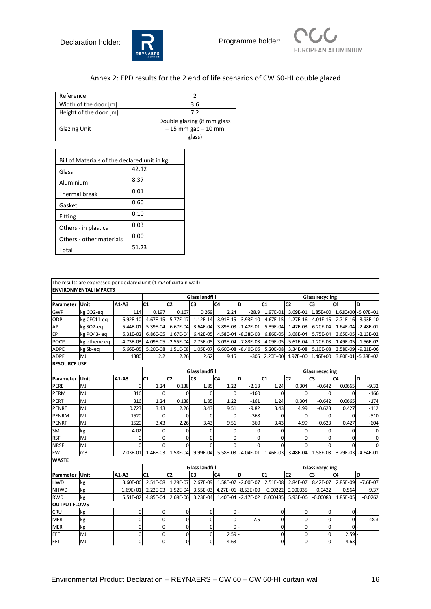$\mathsf{r}$ 





## Annex 2: EPD results for the 2 end of life scenarios of CW 60-HI double glazed

| Reference              |                            |
|------------------------|----------------------------|
| Width of the door [m]  | 3.6                        |
| Height of the door [m] | 72                         |
|                        | Double glazing (8 mm glass |
| <b>Glazing Unit</b>    | $-15$ mm gap $-10$ mm      |
|                        | glass)                     |

| Bill of Materials of the declared unit in kg |       |  |  |  |  |  |  |
|----------------------------------------------|-------|--|--|--|--|--|--|
| Glass                                        | 42.12 |  |  |  |  |  |  |
| Aluminium                                    | 8.37  |  |  |  |  |  |  |
| Thermal break                                | 0.01  |  |  |  |  |  |  |
| Gasket                                       | 0.60  |  |  |  |  |  |  |
| Fitting                                      | 0.10  |  |  |  |  |  |  |
| Others - in plastics                         | 0.03  |  |  |  |  |  |  |
| Others - other materials                     | 0.00  |  |  |  |  |  |  |
| Total                                        | 51.23 |  |  |  |  |  |  |

|                     | The results are expressed per declared unit (1 m2 of curtain wall) |              |                       |                       |                |                                      |                     |                        |                        |                |                              |                     |
|---------------------|--------------------------------------------------------------------|--------------|-----------------------|-----------------------|----------------|--------------------------------------|---------------------|------------------------|------------------------|----------------|------------------------------|---------------------|
|                     | <b>ENVIRONMENTAL IMPACTS</b>                                       |              |                       |                       |                |                                      |                     |                        |                        |                |                              |                     |
|                     |                                                                    |              |                       | <b>Glass landfill</b> |                |                                      |                     | <b>Glass recycling</b> |                        |                |                              |                     |
| Parameter           | Unit                                                               | A1-A3        | C <sub>1</sub>        | C <sub>2</sub>        | C <sub>3</sub> | C <sub>4</sub>                       | D                   | C <sub>1</sub>         | C <sub>2</sub>         | C <sub>3</sub> | C <sub>4</sub>               | D                   |
| <b>GWP</b>          | kg CO2-eq                                                          | 114          | 0.197                 | 0.167                 | 0.269          | 2.24                                 | $-28.9$             | $1.97E-01$             | 3.69E-01               |                | 1.85E+00  1.61E+00 -5.07E+01 |                     |
| ODP                 | kg CFC11-eq                                                        | $6.92E - 10$ | 4.67E-15              | 5.77E-17              | $1.12E-14$     |                                      | 3.91E-15 - 3.93E-10 | 4.67E-15               | $1.27E-16$             |                | 4.01E-15 2.71E-16 -3.93E-10  |                     |
| AP                  | kg SO2-eq                                                          | 5.44E-01     | 5.39E-04              | 6.67E-04              | 3.64E-04       |                                      | 3.89E-03 -1.42E-01  | 5.39E-04               | 1.47E-03               | 6.20E-04       |                              | 1.64E-04 - 2.48E-01 |
| EP                  | kg PO43-eq                                                         | 6.31E-02     | 6.86E-05              | 1.67E-04              | $6.42E-05$     |                                      | 4.58E-04 -8.38E-03  | 6.86E-05               | 3.68E-04               | 5.75E-04       |                              | 3.65E-05 - 2.13E-02 |
| <b>POCP</b>         | kg ethene eq                                                       | $-4.73E-03$  | 4.09E-05              | $-2.55E-04$           | $2.75E-05$     |                                      | 3.03E-04 - 7.83E-03 |                        | 4.09E-05 -5.61E-04     | $-1.20E-03$    |                              | 1.49E-05 - 1.56E-02 |
| <b>ADPE</b>         | kg Sb-eq                                                           | 5.66E-05     | 5.20E-08              | 1.51E-08              | 1.05E-07       |                                      | 6.60E-08 -8.40E-06  | 5.20E-08               | 3.34E-08               | 5.10E-08       |                              | 3.58E-09 -9.21E-06  |
| <b>ADPF</b>         | MJ                                                                 | 1380         | 2.2                   | 2.26                  | 2.62           | 9.15                                 | $-305$              | 2.20E+00               | 4.97E+00               | 1.46E+00       |                              | 3.80E-01 - 5.38E+02 |
| <b>RESOURCE USE</b> |                                                                    |              |                       |                       |                |                                      |                     |                        |                        |                |                              |                     |
|                     |                                                                    |              | <b>Glass landfill</b> |                       |                |                                      |                     |                        | <b>Glass recycling</b> |                |                              |                     |
| Parameter           | Unit                                                               | A1-A3        | C1                    | C <sub>2</sub>        | C <sub>3</sub> | C <sub>4</sub>                       | D                   | C1                     | C <sub>2</sub>         | C <sub>3</sub> | C <sub>4</sub>               | D                   |
| PERE                | MJ                                                                 | $\Omega$     | 1.24                  | 0.138                 | 1.85           | 1.22                                 | $-2.13$             | 1.24                   | 0.304                  | $-0.642$       | 0.0665                       | $-9.32$             |
| PERM                | MJ                                                                 | 316          | 0                     | 0                     | $\mathbf 0$    | 0                                    | $-160$              | 0                      | 0                      | $\mathbf 0$    | 0                            | $-166$              |
| PERT                | MJ                                                                 | 316          | 1.24                  | 0.138                 | 1.85           | 1.22                                 | $-161$              | 1.24                   | 0.304                  | $-0.642$       | 0.0665                       | $-174$              |
| PENRE               | MJ                                                                 | 0.723        | 3.43                  | 2.26                  | 3.43           | 9.51                                 | $-9.82$             | 3.43                   | 4.99                   | $-0.623$       | 0.427                        | $-112$              |
| PENRM               | MJ                                                                 | 1520         | $\Omega$              | 0                     | 0              | $\Omega$                             | $-368$              | $\Omega$               | 0                      | $\Omega$       | O                            | $-510$              |
| <b>PENRT</b>        | MJ                                                                 | 1520         | 3.43                  | 2.26                  | 3.43           | 9.51                                 | $-360$              | 3.43                   | 4.99                   | $-0.623$       | 0.427                        | $-604$              |
| SM                  | kg                                                                 | 4.02         | $\mathbf 0$           | 0                     | $\mathbf 0$    | $\Omega$                             | $\Omega$            | 0                      | 0                      | 0              | $\Omega$                     | $\pmb{0}$           |
| <b>RSF</b>          | MJ                                                                 | $\mathbf 0$  | $\mathbf 0$           | $\mathbf 0$           | $\overline{0}$ | $\mathbf 0$                          | $\mathbf 0$         | $\mathbf 0$            | $\mathbf 0$            | 0              | $\Omega$                     | $\mathbf 0$         |
| <b>NRSF</b>         | MJ                                                                 | $\Omega$     | $\Omega$              | $\Omega$              | $\Omega$       | $\Omega$                             | $\Omega$            | $\Omega$               | $\Omega$               | $\Omega$       | $\Omega$                     | $\mathbf 0$         |
| <b>FW</b>           | m <sub>3</sub>                                                     | 7.03E-01     | 1.46E-03              | 1.58E-04              |                | 9.99E-04 5.58E-03 -4.04E-01          |                     | 1.46E-03               | 3.48E-04               | 1.58E-03       |                              | 3.29E-03 -4.64E-01  |
| <b>WASTE</b>        |                                                                    |              |                       |                       |                |                                      |                     |                        |                        |                |                              |                     |
|                     |                                                                    |              | <b>Glass landfill</b> |                       |                |                                      |                     | <b>Glass recycling</b> |                        |                |                              |                     |
| Parameter           | Unit                                                               | A1-A3        | C <sub>1</sub>        | C <sub>2</sub>        | C <sub>3</sub> | C <sub>4</sub>                       | b                   | C <sub>1</sub>         | C <sub>2</sub>         | C <sub>3</sub> | C <sub>4</sub>               | lD.                 |
| <b>HWD</b>          | kg                                                                 | 3.60E-06     | $2.51E-08$            | 1.29E-07              |                | 2.67E-09 1.58E-07 - 2.00E-07         |                     | $2.51E-08$             | 2.84E-07               | 8.42E-07       | 2.85E-09                     | $-7.6E-07$          |
| <b>NHWD</b>         | kg                                                                 | 1.69E+01     | 2.22E-03              |                       |                | 1.52E-04 3.55E-03 4.27E+01 -8.53E+00 |                     | 0.00222                | 0.000335               | 0.0422         | 0.564                        | $-9.37$             |
| <b>RWD</b>          | kg                                                                 | 5.51E-02     | 4.85E-04              | 2.69E-06              | $3.23E-04$     |                                      | 1.40E-04 - 2.17E-02 | 0.000485               | 5.93E-06               | $-0.00083$     | 1.85E-05                     | $-0.0262$           |
| <b>OUTPUT FLOWS</b> |                                                                    |              |                       |                       |                |                                      |                     |                        |                        |                |                              |                     |
| CRU                 | kg                                                                 | $\mathbf 0$  | $\mathbf 0$           | $\mathbf 0$           | $\overline{0}$ | $0 -$                                |                     | $\mathbf{0}$           | $\mathbf 0$            | $\mathbf 0$    | $0 -$                        |                     |
| <b>MFR</b>          | kg                                                                 | $\mathbf 0$  | 0                     | 0                     | $\mathbf 0$    | 0                                    | 7.5                 | 0                      | 0                      | 0              | 0                            | 48.3                |
| <b>MER</b>          | kg                                                                 | $\mathbf 0$  | 0                     | 0                     | $\mathbf 0$    | $\Omega$                             |                     | 0                      | 0                      | $\mathbf 0$    | $0 -$                        |                     |
| EEE                 | MJ                                                                 | $\mathbf 0$  | 0                     | 0                     | $\mathbf 0$    | 2.59                                 |                     | 0                      | 0                      | 0              | $2.59 -$                     |                     |
| EET                 | MJ                                                                 | $\Omega$     | 0                     | 0                     | $\mathbf 0$    | 4.63                                 |                     | 0                      | 0                      | $\Omega$       | 4.63                         |                     |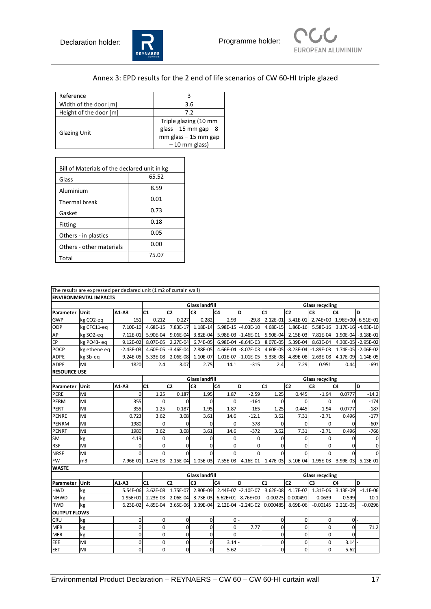



## Annex 3: EPD results for the 2 end of life scenarios of CW 60-HI triple glazed

| Reference              |                                                      |
|------------------------|------------------------------------------------------|
| Width of the door [m]  | 3.6                                                  |
| Height of the door [m] | 72                                                   |
|                        | Triple glazing (10 mm                                |
| <b>Glazing Unit</b>    | $glass - 15$ mm $gap - 8$<br>$mm$ glass $-15$ mm gap |
|                        | $-10$ mm glass)                                      |

| Bill of Materials of the declared unit in kg<br>65.52<br>Glass |       |  |  |  |  |  |  |  |
|----------------------------------------------------------------|-------|--|--|--|--|--|--|--|
| Aluminium                                                      | 8.59  |  |  |  |  |  |  |  |
| Thermal break                                                  | 0.01  |  |  |  |  |  |  |  |
| Gasket                                                         | 0.73  |  |  |  |  |  |  |  |
| Fitting                                                        | 0.18  |  |  |  |  |  |  |  |
| Others - in plastics                                           | 0.05  |  |  |  |  |  |  |  |
| Others - other materials                                       | 0.00  |  |  |  |  |  |  |  |
| Total                                                          | 75.07 |  |  |  |  |  |  |  |

|                     | The results are expressed per declared unit (1 m2 of curtain wall) |                |                       |                      |                       |                                       |                       |                        |                |                                |                             |                             |
|---------------------|--------------------------------------------------------------------|----------------|-----------------------|----------------------|-----------------------|---------------------------------------|-----------------------|------------------------|----------------|--------------------------------|-----------------------------|-----------------------------|
|                     | <b>ENVIRONMENTAL IMPACTS</b>                                       |                |                       |                      |                       |                                       |                       |                        |                |                                |                             |                             |
|                     |                                                                    |                |                       |                      | <b>Glass landfill</b> |                                       |                       | <b>Glass recycling</b> |                |                                |                             |                             |
| Parameter           | Unit                                                               | $A1-A3$        | C1                    | C <sub>2</sub>       | C <sub>3</sub>        | C <sub>4</sub>                        | ١D                    | C1                     | C <sub>2</sub> | C <sub>3</sub>                 | C <sub>4</sub>              | D                           |
| <b>GWP</b>          | kg CO2-eg                                                          | 151            | 0.212                 | 0.227                | 0.282                 | 2.93                                  | $-29.8$               | 2.12E-01               | $5.41E-01$     |                                | 2.74E+00 1.96E+00 -6.51E+01 |                             |
| ODP                 | kg CFC11-eq                                                        | 7.10E-10       | 4.68E-15              | 7.83E-17             |                       | 1.18E-14 5.98E-15 -4.03E-10           |                       | 4.68E-15               | 1.86E-16       |                                |                             | 5.58E-16 3.17E-16 -4.03E-10 |
| AP                  | kg SO2-eq                                                          | 7.12E-01       | 5.90E-04              | 9.06E-04             | 3.82E-04              |                                       | 5.98E-03 - 1.46E-01   | 5.90E-04               | 2.15E-03       | 7.81E-04                       |                             | 1.90E-04 - 3.18E-01         |
| EP                  | kg PO43-eq                                                         | $9.12E-02$     | 8.07E-05              | 2.27E-04             | $6.74E-05$            |                                       | 6.98E-04 -8.64E-03    | 8.07E-05               | $5.39E-04$     | 8.63E-04                       |                             | 4.30E-05 - 2.95E-02         |
| POCP                | kg ethene eq                                                       | $-2.43E-03$    | 4.60E-05              | $-3.46E-04$ 2.88E-05 |                       |                                       | 4.66E-04 -8.07E-03    |                        |                | 4.60E-05 - 8.23E-04 - 1.89E-03 |                             | 1.74E-05 - 2.06E-02         |
| <b>ADPE</b>         | kg Sb-eq                                                           | $9.24E-05$     | 5.33E-08              | 2.06E-08             | 1.10E-07              |                                       | $1.01E-07 - 1.01E-05$ | 5.33E-08               | 4.89E-08       | 2.63E-08                       |                             | 4.17E-09 - 1.14E-05         |
| <b>ADPF</b>         | MJ                                                                 | 1820           | 2.4                   | 3.07                 | 2.75                  | 14.1                                  | $-315$                | 2.4                    | 7.29           | 0.951                          | 0.44                        | $-691$                      |
| <b>RESOURCE USE</b> |                                                                    |                |                       |                      |                       |                                       |                       |                        |                |                                |                             |                             |
|                     |                                                                    |                |                       |                      | <b>Glass landfill</b> |                                       |                       |                        |                | <b>Glass recycling</b>         |                             |                             |
| Parameter           | Unit                                                               | A1-A3          | C1                    | C <sub>2</sub>       | C <sub>3</sub>        | C <sub>4</sub>                        | D                     | C <sub>1</sub>         | C <sub>2</sub> | C <sub>3</sub>                 | C <sub>4</sub>              | D                           |
| PERE                | MJ                                                                 | $\Omega$       | 1.25                  | 0.187                | 1.95                  | 1.87                                  | $-2.59$               | 1.25                   | 0.445          | $-1.94$                        | 0.0777                      | $-14.2$                     |
| <b>PERM</b>         | MJ                                                                 | 355            | $\mathbf 0$           | $\mathbf 0$          | $\Omega$              | $\mathbf 0$                           | $-164$                | $\mathbf{0}$           | $\Omega$       | $\Omega$                       | $\Omega$                    | $-174$                      |
| PERT                | MJ                                                                 | 355            | 1.25                  | 0.187                | 1.95                  | 1.87                                  | $-165$                | 1.25                   | 0.445          | $-1.94$                        | 0.0777                      | $-187$                      |
| PENRE               | MJ                                                                 | 0.723          | 3.62                  | 3.08                 | 3.61                  | 14.6                                  | $-12.1$               | 3.62                   | 7.31           | $-2.71$                        | 0.496                       | $-177$                      |
| PENRM               | MJ                                                                 | 1980           | 0                     | $\Omega$             | $\Omega$              | $\Omega$                              | $-378$                | 0                      | $\Omega$       | 0                              | $\Omega$                    | $-607$                      |
| <b>PENRT</b>        | MJ                                                                 | 1980           | 3.62                  | 3.08                 | 3.61                  | 14.6                                  | $-372$                | 3.62                   | 7.31           | $-2.71$                        | 0.496                       | $-766$                      |
| SM                  | kg                                                                 | 4.19           | $\Omega$              | $\Omega$             | $\mathbf 0$           | $\Omega$                              | 0                     | 0                      | $\Omega$       | $\Omega$                       | $\Omega$                    | $\mathbf 0$                 |
| <b>RSF</b>          | MJ                                                                 | $\mathbf 0$    | $\Omega$              | $\Omega$             | $\Omega$              | $\Omega$                              | $\Omega$              | $\Omega$               | $\Omega$       | $\Omega$                       | $\Omega$                    | $\mathbf 0$                 |
| <b>NRSF</b>         | MJ                                                                 | $\Omega$       | $\Omega$              | $\Omega$             | $\Omega$              | $\Omega$                              | $\Omega$              | $\Omega$               | $\Omega$       | $\Omega$                       | $\Omega$                    | $\Omega$                    |
| <b>FW</b>           | m <sub>3</sub>                                                     | 7.96E-01       | 1.47E-03              |                      |                       | 2.15E-04 1.05E-03 7.55E-03 -4.16E-01  |                       | 1.47E-03               | 5.10E-04       | 1.95E-03                       |                             | 3.99E-03 -5.13E-01          |
| <b>WASTE</b>        |                                                                    |                |                       |                      |                       |                                       |                       |                        |                |                                |                             |                             |
|                     |                                                                    |                | <b>Glass landfill</b> |                      |                       |                                       |                       | <b>Glass recycling</b> |                |                                |                             |                             |
| Parameter           | Unit                                                               | $A1-A3$        | C <sub>1</sub>        | C <sub>2</sub>       | C <sub>3</sub>        | C <sub>4</sub>                        | D                     | C <sub>1</sub>         | C <sub>2</sub> | C <sub>3</sub>                 | C <sub>4</sub>              | D                           |
| <b>HWD</b>          | kg                                                                 | 5.54E-06       | 3.62E-08              | 1.75E-07             |                       | 2.80E-09 2.44E-07 -2.10E-07           |                       | $3.62E-08$             | 4.17E-07       | 1.31E-06                       | 3.13E-09                    | $-1.1E-06$                  |
| <b>NHWD</b>         | kg                                                                 | 1.95E+01       | 2.23E-03              |                      |                       | 2.06E-04 3.73E-03 6.62E+01 - 8.76E+00 |                       | 0.00223                | 0.000491       | 0.0639                         | 0.599                       | $-10.1$                     |
| <b>RWD</b>          | kg                                                                 | 6.23E-02       | 4.85E-04              |                      | 3.65E-06 3.39E-04     |                                       | 2.12E-04 - 2.24E-02   | 0.000485               | 8.69E-06       | $-0.00145$                     | 2.21E-05                    | $-0.0296$                   |
| <b>OUTPUT FLOWS</b> |                                                                    |                |                       |                      |                       |                                       |                       |                        |                |                                |                             |                             |
| <b>CRU</b>          | kg                                                                 | $\overline{0}$ | 0                     | $\mathbf 0$          | 0                     | ol-                                   |                       | $\mathbf 0$            | $\overline{0}$ | $\mathbf 0$                    | $\overline{0}$              |                             |
| <b>MFR</b>          | kg                                                                 | $\mathbf 0$    | $\Omega$              | 0                    | 0                     | $\Omega$                              | 7.77                  | 0                      | 0              | $\Omega$                       | $\Omega$                    | 71.2                        |
| <b>MER</b>          | kg                                                                 | $\mathbf{0}$   | $\Omega$              | $\Omega$             | $\mathbf{0}$          | 0                                     |                       | $\mathbf{0}$           | 0l             | $\mathbf 0$                    | $\Omega$                    |                             |
| EEE                 | MJ                                                                 | $\mathbf 0$    | 0                     | 0                    | 0                     | 3.14                                  |                       | $\bf 0$                | $\mathbf{0}$   | $\Omega$                       | 3.14                        |                             |
| EET                 | MJ                                                                 | $\mathbf{0}$   | $\Omega$              | 0                    | $\Omega$              | 5.62                                  |                       | $\mathbf{0}$           | $\overline{0}$ | $\Omega$                       | 5.62                        |                             |